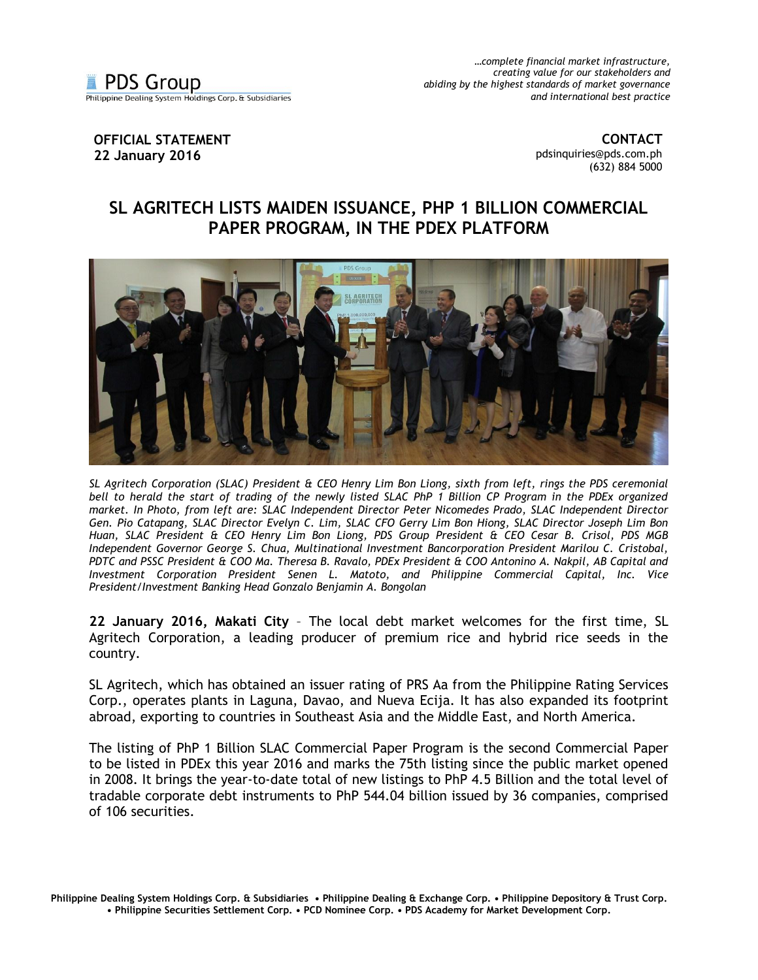*…complete financial market infrastructure, creating value for our stakeholders and abiding by the highest standards of market governance and international best practice*

## **OFFICIAL STATEMENT 22 January 2016**

**CONTACT** [pdsinquiries@pds.com.ph](mailto:pdsinquiries@pds.com.ph) (632) 884 5000

## **SL AGRITECH LISTS MAIDEN ISSUANCE, PHP 1 BILLION COMMERCIAL PAPER PROGRAM, IN THE PDEX PLATFORM**



*SL Agritech Corporation (SLAC) President & CEO Henry Lim Bon Liong, sixth from left, rings the PDS ceremonial*  bell to herald the start of trading of the newly listed SLAC PhP 1 Billion CP Program in the PDEx organized *market. In Photo, from left are: SLAC Independent Director Peter Nicomedes Prado, SLAC Independent Director Gen. Pio Catapang, SLAC Director Evelyn C. Lim, SLAC CFO Gerry Lim Bon Hiong, SLAC Director Joseph Lim Bon Huan, SLAC President & CEO Henry Lim Bon Liong, PDS Group President & CEO Cesar B. Crisol, PDS MGB Independent Governor George S. Chua, Multinational Investment Bancorporation President Marilou C. Cristobal, PDTC and PSSC President & COO Ma. Theresa B. Ravalo, PDEx President & COO Antonino A. Nakpil, AB Capital and Investment Corporation President Senen L. Matoto, and Philippine Commercial Capital, Inc. Vice President/Investment Banking Head Gonzalo Benjamin A. Bongolan* 

**22 January 2016, Makati City** – The local debt market welcomes for the first time, SL Agritech Corporation, a leading producer of premium rice and hybrid rice seeds in the country.

SL Agritech, which has obtained an issuer rating of PRS Aa from the Philippine Rating Services Corp., operates plants in Laguna, Davao, and Nueva Ecija. It has also expanded its footprint abroad, exporting to countries in Southeast Asia and the Middle East, and North America.

The listing of PhP 1 Billion SLAC Commercial Paper Program is the second Commercial Paper to be listed in PDEx this year 2016 and marks the 75th listing since the public market opened in 2008. It brings the year-to-date total of new listings to PhP 4.5 Billion and the total level of tradable corporate debt instruments to PhP 544.04 billion issued by 36 companies, comprised of 106 securities.

**Philippine Dealing System Holdings Corp. & Subsidiaries • Philippine Dealing & Exchange Corp. • Philippine Depository & Trust Corp. • Philippine Securities Settlement Corp. • PCD Nominee Corp. • PDS Academy for Market Development Corp.**